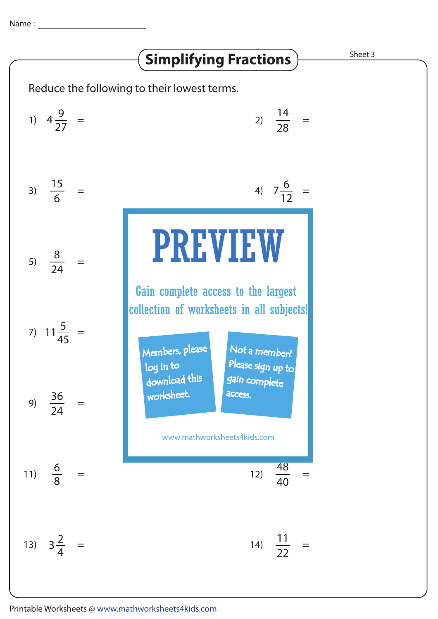